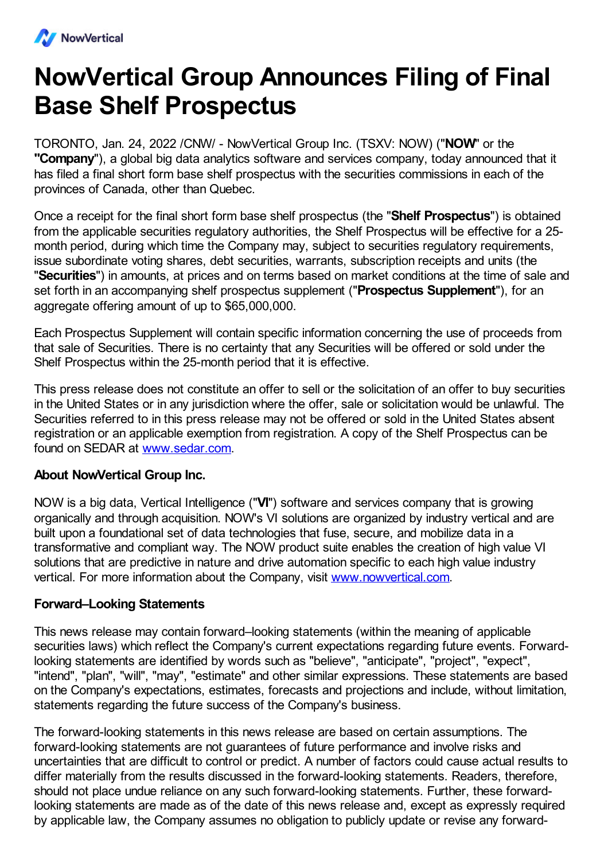

## **NowVertical Group Announces Filing of Final Base Shelf Prospectus**

TORONTO, Jan. 24, 2022 /CNW/ - NowVertical Group Inc. (TSXV: NOW) ("**NOW**" or the **"Company**"), a global big data analytics software and services company, today announced that it has filed a final short form base shelf prospectus with the securities commissions in each of the provinces of Canada, other than Quebec.

Once a receipt for the final short form base shelf prospectus (the "**Shelf Prospectus**") is obtained from the applicable securities regulatory authorities, the Shelf Prospectus will be effective for a 25 month period, during which time the Company may, subject to securities regulatory requirements, issue subordinate voting shares, debt securities, warrants, subscription receipts and units (the "**Securities**") in amounts, at prices and on terms based on market conditions at the time of sale and set forth in an accompanying shelf prospectus supplement ("**Prospectus Supplement**"), for an agaregate offering amount of up to \$65,000,000.

Each Prospectus Supplement will contain specific information concerning the use of proceeds from that sale of Securities. There is no certainty that any Securities will be offered or sold under the Shelf Prospectus within the 25-month period that it is effective.

This press release does not constitute an offer to sell or the solicitation of an offer to buy securities in the United States or in any jurisdiction where the offer, sale or solicitation would be unlawful. The Securities referred to in this press release may not be offered or sold in the United States absent registration or an applicable exemption from registration. A copy of the Shelf Prospectus can be found on SEDAR at [www.sedar.com.](http://www.sedar.com)

## **About NowVertical Group Inc.**

NOW is a big data, Vertical Intelligence ("**VI**") software and services company that is growing organically and through acquisition. NOW's VI solutions are organized by industry vertical and are built upon a foundational set of data technologies that fuse, secure, and mobilize data in a transformative and compliant way. The NOW product suite enables the creation of high value VI solutions that are predictive in nature and drive automation specific to each high value industry vertical. For more information about the Company, visit [www.nowvertical.com](http://www.nowvertical.com/).

## **Forward–Looking Statements**

This news release may contain forward–looking statements (within the meaning of applicable securities laws) which reflect the Company's current expectations regarding future events. Forwardlooking statements are identified by words such as "believe", "anticipate", "project", "expect", "intend", "plan", "will", "may", "estimate" and other similar expressions. These statements are based on the Company's expectations, estimates, forecasts and projections and include, without limitation, statements regarding the future success of the Company's business.

The forward-looking statements in this news release are based on certain assumptions. The forward-looking statements are not guarantees of future performance and involve risks and uncertainties that are difficult to control or predict. A number of factors could cause actual results to differ materially from the results discussed in the forward-looking statements. Readers, therefore, should not place undue reliance on any such forward-looking statements. Further, these forwardlooking statements are made as of the date of this news release and, except as expressly required by applicable law, the Company assumes no obligation to publicly update or revise any forward